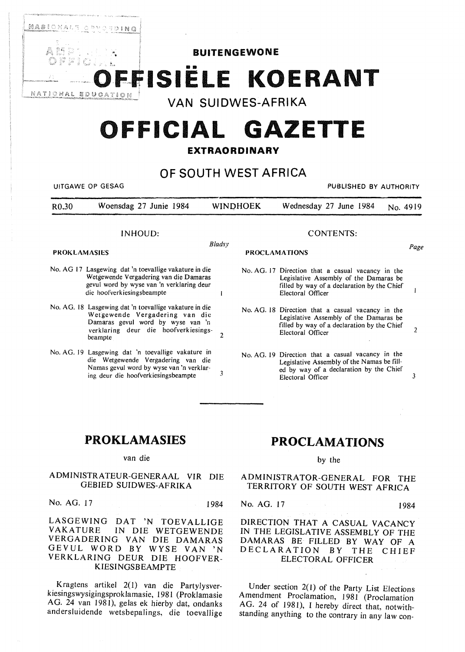

# **OFFICIAL GAZETTE**

## **EXTRAORDINARY**

## **OF SOUTH WEST AFRICA**

| UITGAWE OP GESAG    |                                                                                                                                                                                  |               | PUBLISHED BY AUTHORITY |                                                                                                                                                                 |          |
|---------------------|----------------------------------------------------------------------------------------------------------------------------------------------------------------------------------|---------------|------------------------|-----------------------------------------------------------------------------------------------------------------------------------------------------------------|----------|
| R <sub>0</sub> ,30  | Woensdag 27 Junie 1984                                                                                                                                                           |               | WINDHOEK               | Wednesday 27 June 1984                                                                                                                                          | No. 4919 |
|                     | INHOUD:                                                                                                                                                                          |               | <b>CONTENTS:</b>       |                                                                                                                                                                 |          |
| <b>PROKLAMASIES</b> |                                                                                                                                                                                  | <b>Bladsy</b> | <b>PROCLAMATIONS</b>   |                                                                                                                                                                 | Page     |
|                     | No. AG 17 Lasgewing dat 'n toevallige vakature in die<br>Wetgewende Vergadering van die Damaras<br>gevul word by wyse van 'n verklaring deur<br>die hoofverkiesingsbeampte       |               |                        | No. AG. 17 Direction that a casual vacancy in the<br>Legislative Assembly of the Damaras be<br>filled by way of a declaration by the Chief<br>Electoral Officer |          |
|                     | No. AG. 18 Lasgewing dat 'n toevallige vakature in die<br>Wetgewende Vergadering van die<br>Damaras gevul word by wyse van 'n<br>verklaring deur die hoofverkiesings-<br>beampte | 2             |                        | No. AG. 18 Direction that a casual vacancy in the<br>Legislative Assembly of the Damaras be<br>filled by way of a declaration by the Chief<br>Electoral Officer | 2        |
|                     | No. AG. 19 Lasgewing dat 'n toevallige vakature in<br>die Wetgewende Vergadering van die<br>Namas gevul word by wyse van 'n verklar-<br>ing deur die hoofverkiesingsbeampte      | 3             |                        | No. AG. 19 Direction that a casual vacancy in the<br>Legislative Assembly of the Namas be fill-<br>ed by way of a declaration by the Chief<br>Electoral Officer | 3        |

# **PROKLAMASIES**

#### van die

### ADMINISTRATEUR-GENERAAL VIR DIE GEBIED SUIDWES-AFRIKA

No. AG. 17 1984

LASGEWING DAT 'N TOEVALLIGE<br>VAKATURE IN DIE WETGEWENDE IN DIE WETGEWENDE VERGADERING VAN DIE DAMARAS GEVUL WORD BY WYSE VAN 'N VERKLARING DEUR DIE HOOFVER-KIESINGSBEAMPTE

Kragtens artikel 2(1) van die Partylysverkiesingswysigingsproklamasie, 1981 (Proklamasie AG. 24 van 1981), gelas ek hierby dat, ondanks andersluidende wetsbepalings, die toevallige

## **PROCLAMATIONS**

by the

ADMINISTRATOR-GENERAL FOR THE TERRITORY OF SOUTH WEST AFRICA

#### No. AG. 17 1984

DIRECTION THAT A CASUAL VACANCY IN THE LEGISLATIVE ASSEMBLY OF THE DAMARAS BE FILLED BY WAY OF A DECLARATION BY THE CHIEF ELECTORAL OFFICER

Under section  $2(1)$  of the Party List Elections Amendment Proclamation, 1981 (Proclamation AG. 24 of 1981), I hereby direct that, notwithstanding anything to the contrary in any law con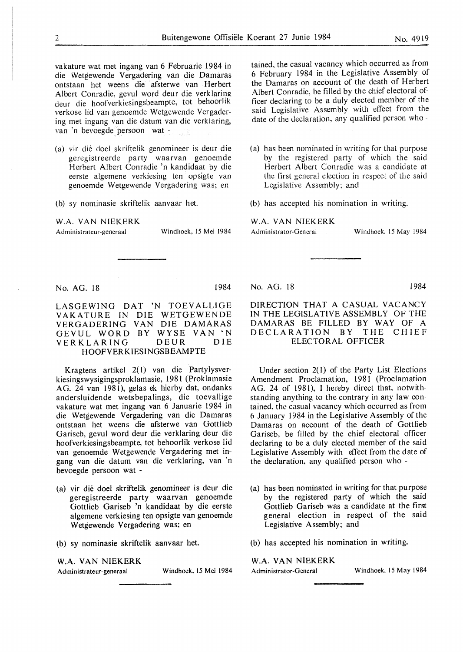vakature wat met ingang van 6 Februarie 1984 in die Wetgewende Vergadering van die Damaras ontstaan het weens die afsterwe van Herbert Albert Conradie, gevul word deur die verklaring deur die hoofverkiesingsbeampte, tot behoorlik verkose lid van genoemde Wetgewende Vergadering met ingang van die datum van die verklaring, van 'n bevoegde persoon wat -

- (a) vir die doe! skriftelik genomineer is deur die geregistreerde party waarvan genoemde Herbert Albert Conradie 'n kandidaat by die eerste algemene verkiesing ten opsigte van genoemde Wetgewende Vergadering was: en
- (b) sy nominasie skriftelik aanvaar het.

**W.A. VAN NIEKERK** 

Administrateur-generaal Windhoek. 15 Mei 1984

tained, the casual vacancy which occurred as from 6 February 1984 in the Legislative Assembly of the Damaras on account of the death of Herbert Albert Conradie, be filled by the chief electoral officer declaring to be a duly elected member of the said Legislative Assembly with effect from the date of the declaration, any qualified person who -

- (a) has been nominated in writing for that purpose by the registered party of which the said Herbert Albert Conradie was a candidate at the first general election in respect of the said Legislative Assembly: and
- (b) has accepted his nomination in writing.

**W.A. VAN NIEKERK** 

Administrator-General Windhoek. 15 May 1984

No. AG. 18 1984

LASGEWING DAT 'N TOEVALLIGE VAKATURE IN DIE WETGEWENDE VERGADERING VAN DIE DAMARAS GEVUL WORD BY WYSE VAN 'N<br>VERKLARING DEUR DIE VERKLARING HOOFVERKIESINGSBEAMPTE

Kragtens artikel 2(1) van die Partylysverkiesingswysigingsproklamasie, 1981 (Proklamasie AG. 24 van 1981), gelas ek hierby dat, ondanks andersluidende wetsbepalings, die toevallige vakature wat met ingang van 6 Januarie 1984 in die Wetgewende Vergadering van die Damaras ontstaan het weens die afsterwe van Gottlieb Gariseb, gevul word deur die verklaring deur die hoofverkiesingsbeampte, tot behoorlik verkose lid van genoemde Wetgewende Vergadering met ingang van die datum van die verklaring, van 'n bevoegde persoon wat -

- (a) vir die doe! skriftelik genomineer is deur die geregistreerde party waarvan genoemde Gottlieb Gariseb 'n kandidaat by die eerste algemene verkiesing ten opsigte van genoemde Wetgewende Vergadering was; en
- (b) sy nominasie skriftelik aanvaar het.

**W.A. VAN NIEKERK** 

Administrateur-generaal Windhoek, 15 Mei 1984

DIRECTION THAT A CASUAL VACANCY IN THE LEGISLATIVE ASSEMBLY OF THE DAMARAS BE FILLED BY WAY OF A DECLARATION BY THE CHIEF ELECTORAL OFFICER

Under section 2(1) of the Party List Elections Amendment Proclamation, 1981 (Proclamation AG. 24 of 1981), I hereby direct that, notwithstanding anything to the contrary in any law contained, the casual vacancy which occurred as from 6 January 1984 in the Legislative Assembly of the Damaras on account of the death of Gottlieb Gariseb, be filled by the chief electoral officer declaring to be a duly elected member of the said Legislative Assembly with effect from the date of the declaration, any qualified person who -

- (a) has been nominated in writing for that purpose by the registered party of which the said Gottlieb Gariseb was a candidate at the first general election in respect of the said Legislative Assembly; and
- (b) has accepted his nomination in writing.

**W.A. VAN NIEKERK** 

Administrator-General Windhoek. 15 May 1984

No. AG. 18 1984